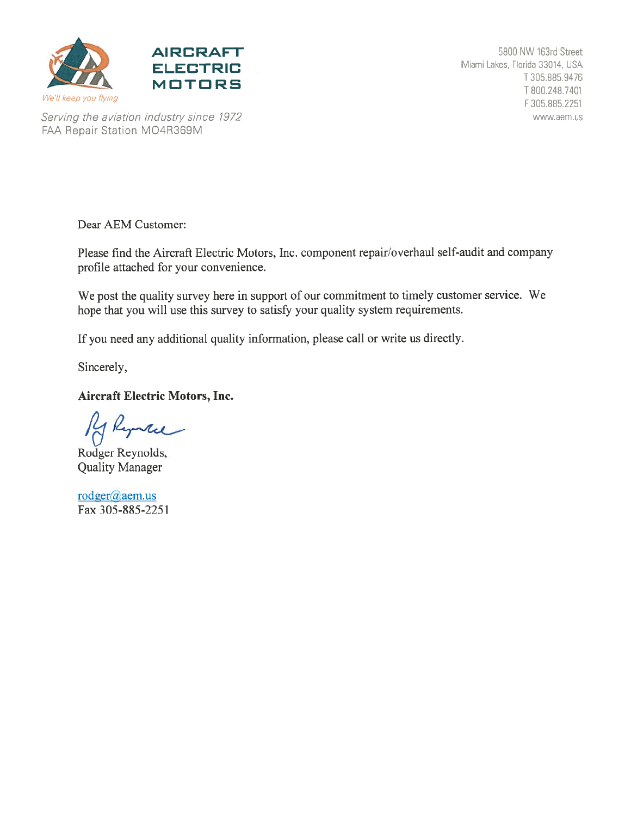



Serving the aviation industry since 1972 FAA Repair Station MO4R369M

Dear AEM Customer:

Please find the Aircraft Electric Motors, Inc. component repair/overhaul self-audit and company profile attached for your convenience.

We post the quality survey here in support of our commitment to timely customer service. We hope that you will use this survey to satisfy your quality system requirements.

If you need any additional quality information, please call or write us directly.

Sincerely,

### **Aircraft Electric Motors, Inc.**

Kyntee

Rodger Reynolds, **Quality Manager** 

rodger@aem.us Fax 305-885-2251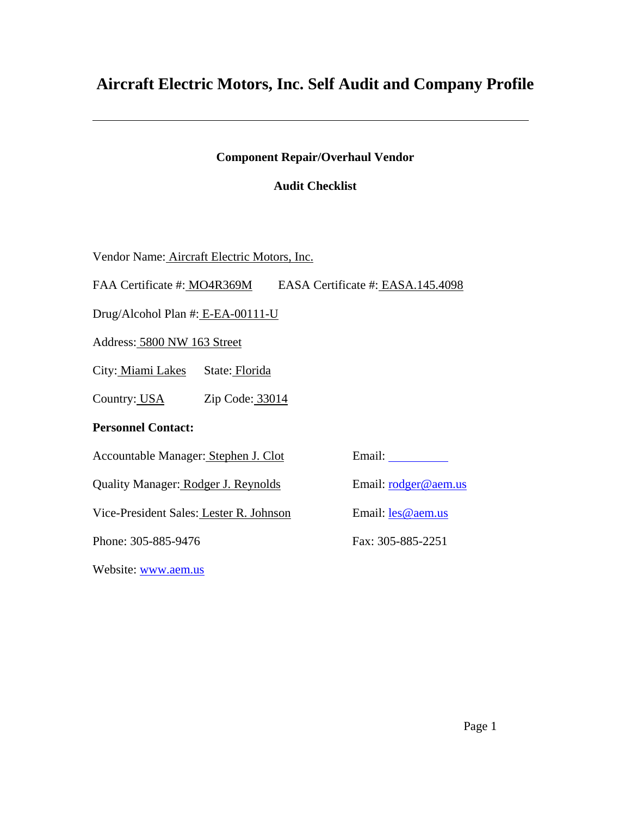### **Aircraft Electric Motors, Inc. Self Audit and Company Profile**

### **Component Repair/Overhaul Vendor**

### **Audit Checklist**

Vendor Name: Aircraft Electric Motors, Inc.

FAA Certificate #: MO4R369M EASA Certificate #: EASA.145.4098

Drug/Alcohol Plan #: E-EA-00111-U

Address: 5800 NW 163 Street

City: Miami Lakes State: Florida

Country: USA Zip Code: 33014

#### **Personnel Contact:**

Accountable Manager: Stephen J. Clot Email:

Quality Manager: Rodger J. Reynolds Email: rodger@aem.us

Vice-President Sales: Lester R. Johnson Email: les @aem.us

Phone: 305-885-9476 Fax: 305-885-2251

Website: www.aem.us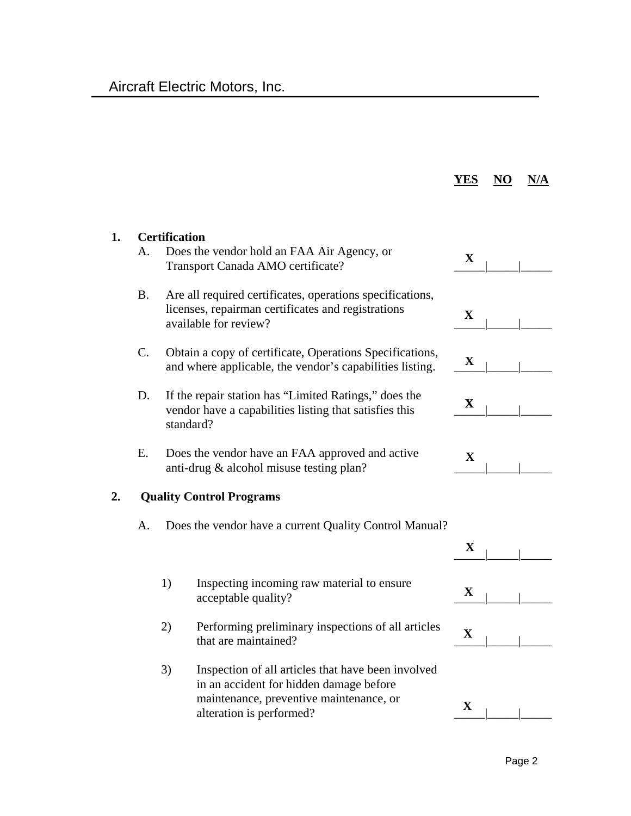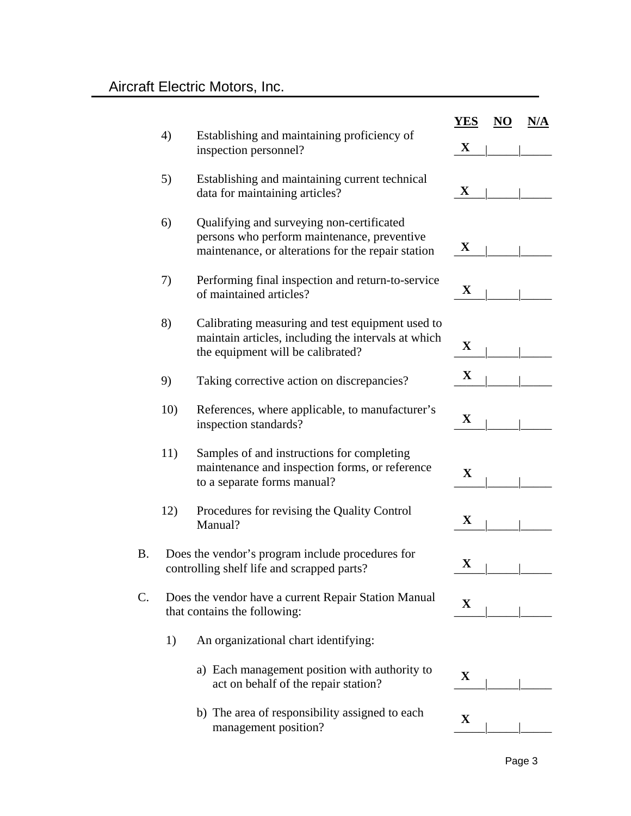|           |     |                                                                                                                                                | <b>YES</b>  | NO | N/A |
|-----------|-----|------------------------------------------------------------------------------------------------------------------------------------------------|-------------|----|-----|
|           | 4)  | Establishing and maintaining proficiency of<br>inspection personnel?                                                                           | $\mathbf X$ |    |     |
|           | 5)  | Establishing and maintaining current technical<br>data for maintaining articles?                                                               | $\mathbf X$ |    |     |
|           | 6)  | Qualifying and surveying non-certificated<br>persons who perform maintenance, preventive<br>maintenance, or alterations for the repair station | $\mathbf X$ |    |     |
|           | 7)  | Performing final inspection and return-to-service<br>of maintained articles?                                                                   | $\mathbf X$ |    |     |
|           | 8)  | Calibrating measuring and test equipment used to<br>maintain articles, including the intervals at which<br>the equipment will be calibrated?   | $\mathbf X$ |    |     |
|           | 9)  | Taking corrective action on discrepancies?                                                                                                     | $\mathbf X$ |    |     |
|           | 10) | References, where applicable, to manufacturer's<br>inspection standards?                                                                       | $\mathbf X$ |    |     |
|           | 11) | Samples of and instructions for completing<br>maintenance and inspection forms, or reference<br>to a separate forms manual?                    | $\mathbf X$ |    |     |
|           | 12) | Procedures for revising the Quality Control<br>Manual?                                                                                         | $\mathbf X$ |    |     |
| <b>B.</b> |     | Does the vendor's program include procedures for<br>controlling shelf life and scrapped parts?                                                 | $\mathbf X$ |    |     |
| C.        |     | Does the vendor have a current Repair Station Manual<br>that contains the following:                                                           | $\mathbf X$ |    |     |
|           | 1)  | An organizational chart identifying:                                                                                                           |             |    |     |
|           |     | a) Each management position with authority to<br>act on behalf of the repair station?                                                          | $\mathbf X$ |    |     |
|           |     | b) The area of responsibility assigned to each<br>management position?                                                                         | $\mathbf X$ |    |     |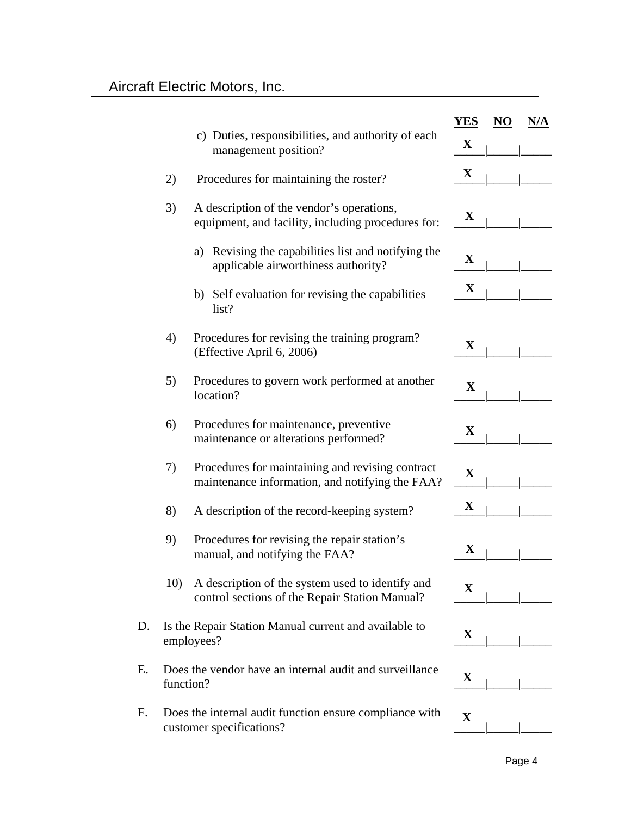|    |           |                                                                                                     | <b>YES</b>  | NO | N/A |
|----|-----------|-----------------------------------------------------------------------------------------------------|-------------|----|-----|
|    |           | c) Duties, responsibilities, and authority of each<br>management position?                          | $\mathbf X$ |    |     |
|    | 2)        | Procedures for maintaining the roster?                                                              | X           |    |     |
|    | 3)        | A description of the vendor's operations,<br>equipment, and facility, including procedures for:     | X           |    |     |
|    |           | a) Revising the capabilities list and notifying the<br>applicable airworthiness authority?          | $\mathbf X$ |    |     |
|    |           | b) Self evaluation for revising the capabilities<br>list?                                           | X           |    |     |
|    | 4)        | Procedures for revising the training program?<br>(Effective April 6, 2006)                          | $\mathbf X$ |    |     |
|    | 5)        | Procedures to govern work performed at another<br>location?                                         | X           |    |     |
|    | 6)        | Procedures for maintenance, preventive<br>maintenance or alterations performed?                     | X           |    |     |
|    | 7)        | Procedures for maintaining and revising contract<br>maintenance information, and notifying the FAA? | $\mathbf X$ |    |     |
|    | 8)        | A description of the record-keeping system?                                                         | $\mathbf X$ |    |     |
|    | 9)        | Procedures for revising the repair station's<br>manual, and notifying the FAA?                      | $\mathbf X$ |    |     |
|    | 10)       | A description of the system used to identify and<br>control sections of the Repair Station Manual?  | $\mathbf X$ |    |     |
| D. |           | Is the Repair Station Manual current and available to<br>employees?                                 | X           |    |     |
| Ε. | function? | Does the vendor have an internal audit and surveillance                                             | X           |    |     |
| F. |           | Does the internal audit function ensure compliance with<br>customer specifications?                 | $\mathbf X$ |    |     |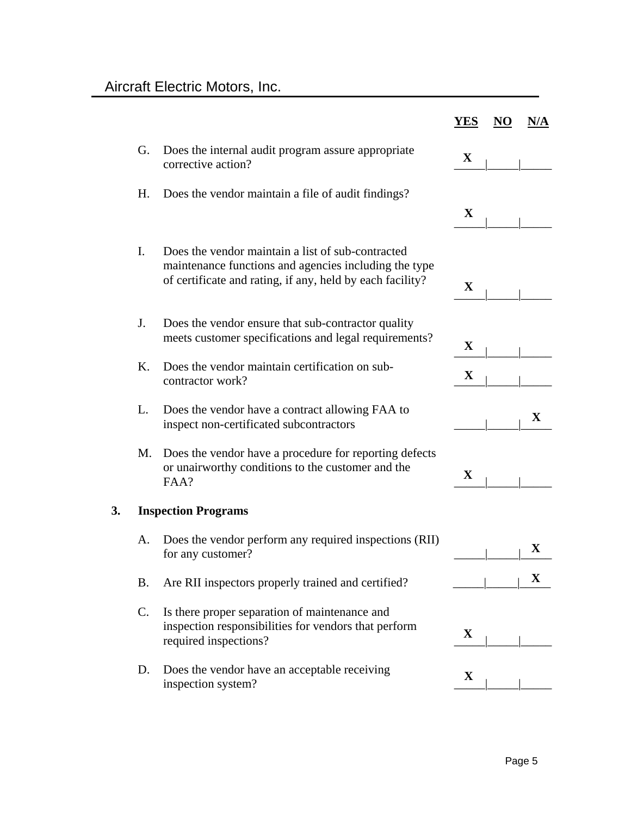|    |    |                                                                                                                                                                         | <b>YES</b>  | NO | N/A         |
|----|----|-------------------------------------------------------------------------------------------------------------------------------------------------------------------------|-------------|----|-------------|
|    | G. | Does the internal audit program assure appropriate<br>corrective action?                                                                                                | $\mathbf X$ |    |             |
|    | Η. | Does the vendor maintain a file of audit findings?                                                                                                                      |             |    |             |
|    |    |                                                                                                                                                                         | $\mathbf X$ |    |             |
|    | Ι. | Does the vendor maintain a list of sub-contracted<br>maintenance functions and agencies including the type<br>of certificate and rating, if any, held by each facility? | $\mathbf X$ |    |             |
|    | J. | Does the vendor ensure that sub-contractor quality<br>meets customer specifications and legal requirements?                                                             | $\mathbf X$ |    |             |
|    | K. | Does the vendor maintain certification on sub-<br>contractor work?                                                                                                      | $\mathbf X$ |    |             |
|    | L. | Does the vendor have a contract allowing FAA to<br>inspect non-certificated subcontractors                                                                              |             |    | $\mathbf X$ |
|    | M. | Does the vendor have a procedure for reporting defects<br>or unairworthy conditions to the customer and the<br>FAA?                                                     | X           |    |             |
| 3. |    | <b>Inspection Programs</b>                                                                                                                                              |             |    |             |
|    | А. | Does the vendor perform any required inspections (RII)<br>for any customer?                                                                                             |             |    | $\mathbf X$ |
|    | Β. | Are RII inspectors properly trained and certified?                                                                                                                      |             |    | $\mathbf X$ |
|    | C. | Is there proper separation of maintenance and<br>inspection responsibilities for vendors that perform<br>required inspections?                                          | $\mathbf X$ |    |             |
|    | D. | Does the vendor have an acceptable receiving<br>inspection system?                                                                                                      | $\mathbf X$ |    |             |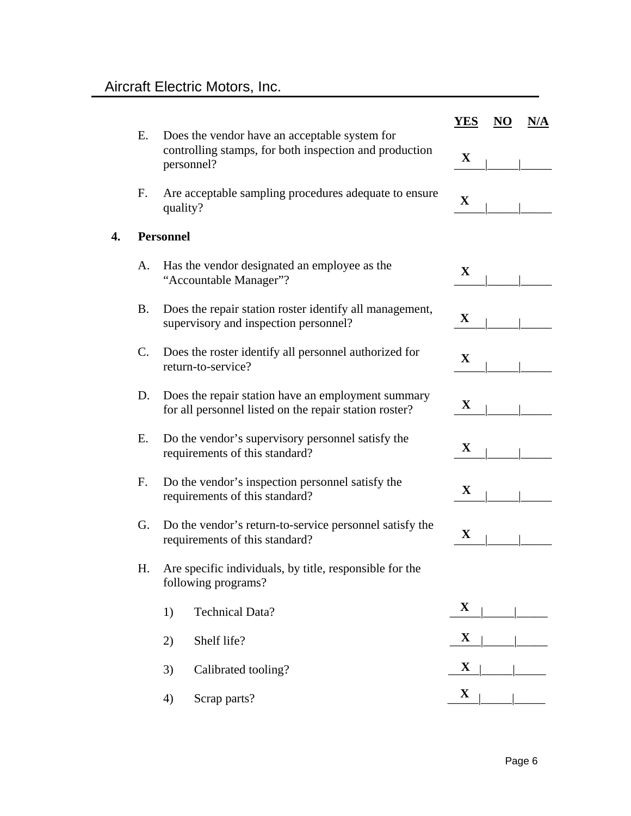|    | Ε. | Does the vendor have an acceptable system for                                                                | <b>YES</b>  | NO | N/A |
|----|----|--------------------------------------------------------------------------------------------------------------|-------------|----|-----|
|    |    | controlling stamps, for both inspection and production<br>personnel?                                         | X           |    |     |
|    | F. | Are acceptable sampling procedures adequate to ensure<br>quality?                                            | $\mathbf X$ |    |     |
| 4. |    | <b>Personnel</b>                                                                                             |             |    |     |
|    | А. | Has the vendor designated an employee as the<br>"Accountable Manager"?                                       | X           |    |     |
|    | Β. | Does the repair station roster identify all management,<br>supervisory and inspection personnel?             | $\mathbf X$ |    |     |
|    | C. | Does the roster identify all personnel authorized for<br>return-to-service?                                  | X           |    |     |
|    | D. | Does the repair station have an employment summary<br>for all personnel listed on the repair station roster? | X           |    |     |
|    | Е. | Do the vendor's supervisory personnel satisfy the<br>requirements of this standard?                          | X           |    |     |
|    | F. | Do the vendor's inspection personnel satisfy the<br>requirements of this standard?                           | $\mathbf X$ |    |     |
|    | G. | Do the vendor's return-to-service personnel satisfy the<br>requirements of this standard?                    | $\mathbf X$ |    |     |
|    | Н. | Are specific individuals, by title, responsible for the<br>following programs?                               |             |    |     |
|    |    | <b>Technical Data?</b><br>1)                                                                                 | $\mathbf X$ |    |     |
|    |    | Shelf life?<br>2)                                                                                            | $\mathbf X$ |    |     |
|    |    | 3)<br>Calibrated tooling?                                                                                    | $\mathbf X$ |    |     |
|    |    | 4)<br>Scrap parts?                                                                                           | $\mathbf X$ |    |     |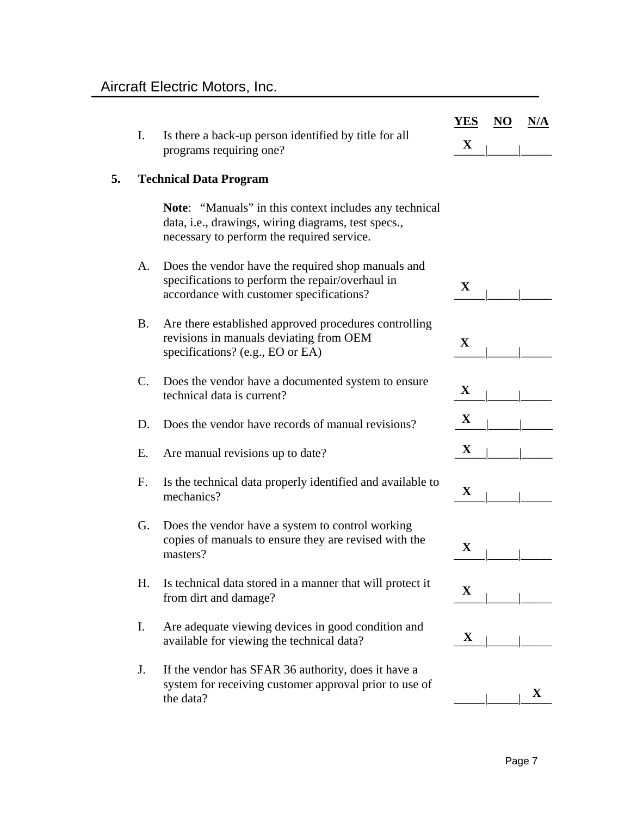|    |    |                                                                                                                                                                    | <b>YES</b>  | NO | N/A |
|----|----|--------------------------------------------------------------------------------------------------------------------------------------------------------------------|-------------|----|-----|
|    | I. | Is there a back-up person identified by title for all<br>programs requiring one?                                                                                   | $\mathbf X$ |    |     |
| 5. |    | <b>Technical Data Program</b>                                                                                                                                      |             |    |     |
|    |    | <b>Note:</b> "Manuals" in this context includes any technical<br>data, i.e., drawings, wiring diagrams, test specs.,<br>necessary to perform the required service. |             |    |     |
|    | A. | Does the vendor have the required shop manuals and<br>specifications to perform the repair/overhaul in<br>accordance with customer specifications?                 | X           |    |     |
|    | Β. | Are there established approved procedures controlling<br>revisions in manuals deviating from OEM<br>specifications? (e.g., EO or EA)                               | $\mathbf X$ |    |     |
|    | C. | Does the vendor have a documented system to ensure<br>technical data is current?                                                                                   | $\mathbf X$ |    |     |
|    | D. | Does the vendor have records of manual revisions?                                                                                                                  | $\mathbf X$ |    |     |
|    | Ε. | Are manual revisions up to date?                                                                                                                                   | X           |    |     |
|    | F. | Is the technical data properly identified and available to<br>mechanics?                                                                                           | $\mathbf X$ |    |     |
|    | G. | Does the vendor have a system to control working<br>copies of manuals to ensure they are revised with the<br>masters?                                              | $\mathbf X$ |    |     |
|    | Η. | Is technical data stored in a manner that will protect it<br>from dirt and damage?                                                                                 | X           |    |     |
|    | I. | Are adequate viewing devices in good condition and<br>available for viewing the technical data?                                                                    | X           |    |     |
|    | J. | If the vendor has SFAR 36 authority, does it have a<br>system for receiving customer approval prior to use of<br>the data?                                         |             |    | X   |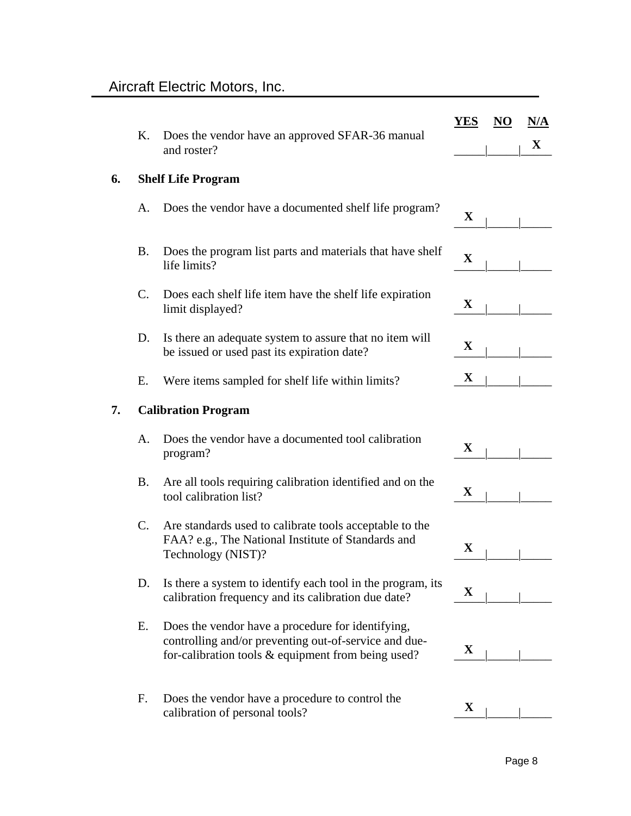|    | Κ.             | Does the vendor have an approved SFAR-36 manual                                                                                                                     | <b>YES</b>  | N <sub>O</sub> | N/A         |
|----|----------------|---------------------------------------------------------------------------------------------------------------------------------------------------------------------|-------------|----------------|-------------|
|    |                | and roster?                                                                                                                                                         |             |                | $\mathbf X$ |
| 6. |                | <b>Shelf Life Program</b>                                                                                                                                           |             |                |             |
|    | А.             | Does the vendor have a documented shelf life program?                                                                                                               | $\mathbf X$ |                |             |
|    | Β.             | Does the program list parts and materials that have shelf<br>life limits?                                                                                           | $\mathbf X$ |                |             |
|    | $\mathbf{C}$ . | Does each shelf life item have the shelf life expiration<br>limit displayed?                                                                                        | $\mathbf X$ |                |             |
|    | D.             | Is there an adequate system to assure that no item will<br>be issued or used past its expiration date?                                                              | $\mathbf X$ |                |             |
|    | Е.             | Were items sampled for shelf life within limits?                                                                                                                    | $\mathbf X$ |                |             |
| 7. |                | <b>Calibration Program</b>                                                                                                                                          |             |                |             |
|    | A.             | Does the vendor have a documented tool calibration<br>program?                                                                                                      | $\mathbf X$ |                |             |
|    | Β.             | Are all tools requiring calibration identified and on the<br>tool calibration list?                                                                                 | $\mathbf X$ |                |             |
|    | C.             | Are standards used to calibrate tools acceptable to the<br>FAA? e.g., The National Institute of Standards and<br>Technology (NIST)?                                 | $\mathbf X$ |                |             |
|    | D.             | Is there a system to identify each tool in the program, its<br>calibration frequency and its calibration due date?                                                  | $\mathbf X$ |                |             |
|    | Е.             | Does the vendor have a procedure for identifying,<br>controlling and/or preventing out-of-service and due-<br>for-calibration tools $\&$ equipment from being used? | $\mathbf X$ |                |             |
|    | F.             | Does the vendor have a procedure to control the<br>calibration of personal tools?                                                                                   | $\mathbf X$ |                |             |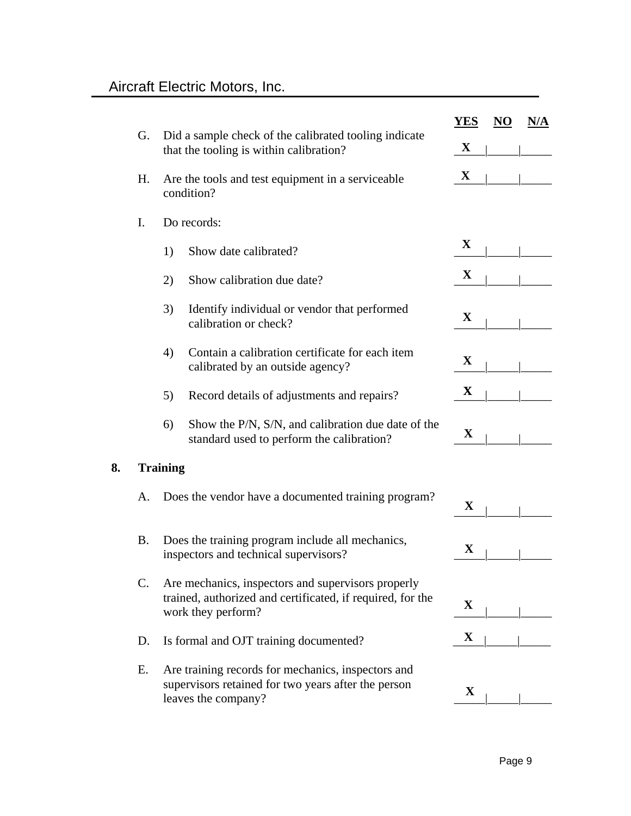|    |                |                 | Did a sample check of the calibrated tooling indicate<br>that the tooling is within calibration?                                       | YES         | N <sub>O</sub> | N/A |
|----|----------------|-----------------|----------------------------------------------------------------------------------------------------------------------------------------|-------------|----------------|-----|
|    | G.             |                 |                                                                                                                                        | $\mathbf X$ |                |     |
|    | Η.             |                 | Are the tools and test equipment in a serviceable<br>condition?                                                                        | $\mathbf X$ |                |     |
|    | I.             |                 | Do records:                                                                                                                            |             |                |     |
|    |                | 1)              | Show date calibrated?                                                                                                                  | X           |                |     |
|    |                | 2)              | Show calibration due date?                                                                                                             | $\mathbf X$ |                |     |
|    |                | 3)              | Identify individual or vendor that performed<br>calibration or check?                                                                  | $\mathbf X$ |                |     |
|    |                | 4)              | Contain a calibration certificate for each item<br>calibrated by an outside agency?                                                    | $\mathbf X$ |                |     |
|    |                | 5)              | Record details of adjustments and repairs?                                                                                             | $\mathbf X$ |                |     |
|    |                | 6)              | Show the P/N, S/N, and calibration due date of the<br>standard used to perform the calibration?                                        | $\mathbf X$ |                |     |
| 8. |                | <b>Training</b> |                                                                                                                                        |             |                |     |
|    | A.             |                 | Does the vendor have a documented training program?                                                                                    | $\mathbf X$ |                |     |
|    | <b>B.</b>      |                 | Does the training program include all mechanics,<br>inspectors and technical supervisors?                                              | $\mathbf X$ |                |     |
|    | $\mathbf{C}$ . |                 | Are mechanics, inspectors and supervisors properly<br>trained, authorized and certificated, if required, for the<br>work they perform? | $\mathbf X$ |                |     |
|    | D.             |                 | Is formal and OJT training documented?                                                                                                 | $\mathbf X$ |                |     |
|    | Ε.             |                 | Are training records for mechanics, inspectors and<br>supervisors retained for two years after the person<br>leaves the company?       | $\mathbf X$ |                |     |
|    |                |                 |                                                                                                                                        |             |                |     |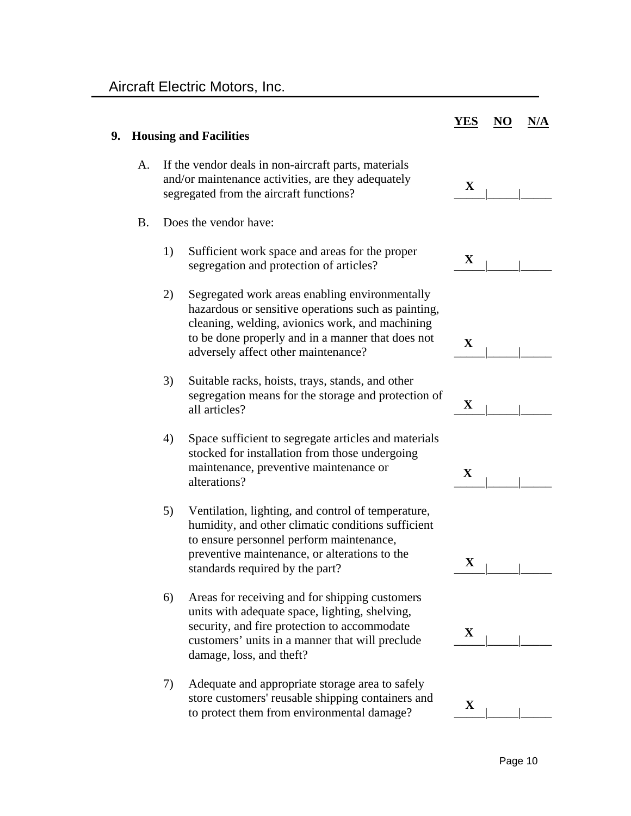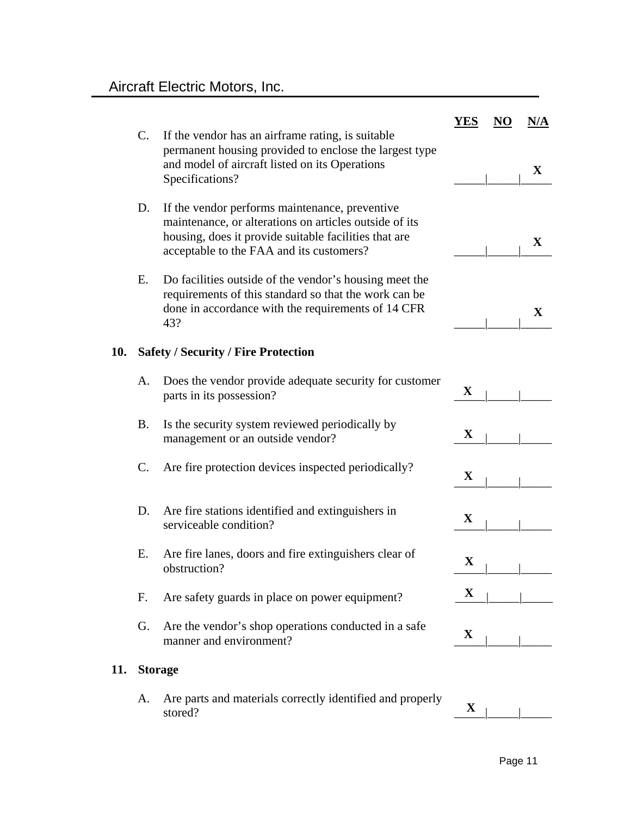|     | $C$ .          | If the vendor has an airframe rating, is suitable                                                                                                                                                             | YES         | NO | N/A         |  |  |  |
|-----|----------------|---------------------------------------------------------------------------------------------------------------------------------------------------------------------------------------------------------------|-------------|----|-------------|--|--|--|
|     |                | permanent housing provided to enclose the largest type<br>and model of aircraft listed on its Operations<br>Specifications?                                                                                   |             |    | X           |  |  |  |
|     | D.             | If the vendor performs maintenance, preventive<br>maintenance, or alterations on articles outside of its<br>housing, does it provide suitable facilities that are<br>acceptable to the FAA and its customers? |             |    | X           |  |  |  |
|     | Е.             | Do facilities outside of the vendor's housing meet the<br>requirements of this standard so that the work can be<br>done in accordance with the requirements of 14 CFR<br>43?                                  |             |    | $\mathbf X$ |  |  |  |
| 10. |                | <b>Safety / Security / Fire Protection</b>                                                                                                                                                                    |             |    |             |  |  |  |
|     | А.             | Does the vendor provide adequate security for customer<br>parts in its possession?                                                                                                                            | $\mathbf X$ |    |             |  |  |  |
|     | <b>B.</b>      | Is the security system reviewed periodically by<br>management or an outside vendor?                                                                                                                           | $\mathbf X$ |    |             |  |  |  |
|     | C.             | Are fire protection devices inspected periodically?                                                                                                                                                           | $\mathbf X$ |    |             |  |  |  |
|     | D.             | Are fire stations identified and extinguishers in<br>serviceable condition?                                                                                                                                   | $\mathbf X$ |    |             |  |  |  |
|     | Ε.             | Are fire lanes, doors and fire extinguishers clear of<br>obstruction?                                                                                                                                         | $\mathbf X$ |    |             |  |  |  |
|     | F.             | Are safety guards in place on power equipment?                                                                                                                                                                | X           |    |             |  |  |  |
|     | G.             | Are the vendor's shop operations conducted in a safe.<br>manner and environment?                                                                                                                              | $\mathbf X$ |    |             |  |  |  |
| 11. | <b>Storage</b> |                                                                                                                                                                                                               |             |    |             |  |  |  |

A. Are parts and materials correctly identified and properly stored? stored?

 $\mathbf{X}$ <sub>|</sub>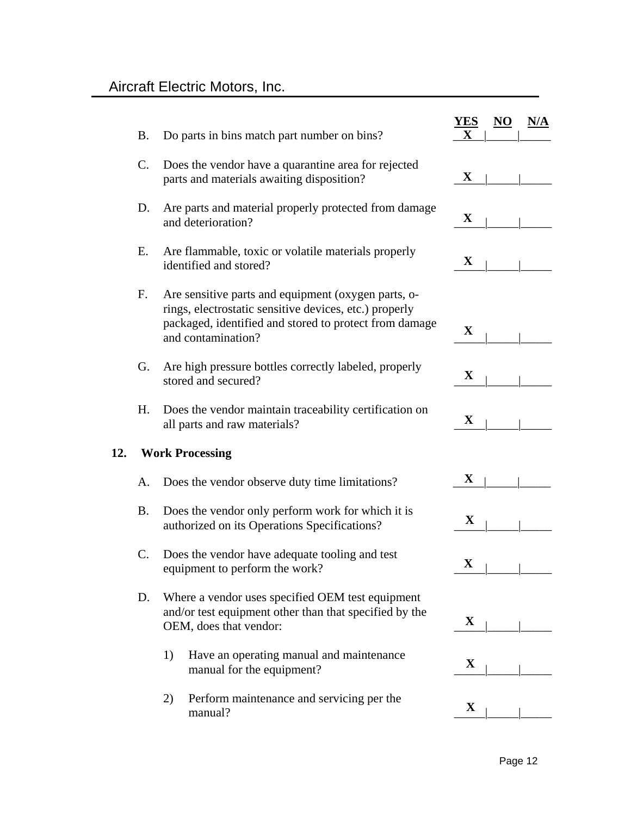|     | <b>B.</b> | Do parts in bins match part number on bins?                                                                                                                                                   | YES<br>Х    | NO | N/A |
|-----|-----------|-----------------------------------------------------------------------------------------------------------------------------------------------------------------------------------------------|-------------|----|-----|
|     | C.        | Does the vendor have a quarantine area for rejected<br>parts and materials awaiting disposition?                                                                                              | $\mathbf X$ |    |     |
|     | D.        | Are parts and material properly protected from damage<br>and deterioration?                                                                                                                   | $\mathbf X$ |    |     |
|     | Е.        | Are flammable, toxic or volatile materials properly<br>identified and stored?                                                                                                                 | $\mathbf X$ |    |     |
|     | F.        | Are sensitive parts and equipment (oxygen parts, o-<br>rings, electrostatic sensitive devices, etc.) properly<br>packaged, identified and stored to protect from damage<br>and contamination? | X           |    |     |
|     | G.        | Are high pressure bottles correctly labeled, properly<br>stored and secured?                                                                                                                  | $\mathbf X$ |    |     |
|     | Η.        | Does the vendor maintain traceability certification on<br>all parts and raw materials?                                                                                                        | $\mathbf X$ |    |     |
| 12. |           | <b>Work Processing</b>                                                                                                                                                                        |             |    |     |
|     | А.        | Does the vendor observe duty time limitations?                                                                                                                                                | $\mathbf X$ |    |     |
|     | <b>B.</b> | Does the vendor only perform work for which it is<br>authorized on its Operations Specifications?                                                                                             | $\mathbf X$ |    |     |
|     | C.        | Does the vendor have adequate tooling and test<br>equipment to perform the work?                                                                                                              | $\mathbf X$ |    |     |
|     | D.        | Where a vendor uses specified OEM test equipment<br>and/or test equipment other than that specified by the<br>OEM, does that vendor:                                                          | $\mathbf X$ |    |     |
|     |           | Have an operating manual and maintenance<br>1)<br>manual for the equipment?                                                                                                                   | $\mathbf X$ |    |     |
|     |           | Perform maintenance and servicing per the<br>2)<br>manual?                                                                                                                                    | $\mathbf X$ |    |     |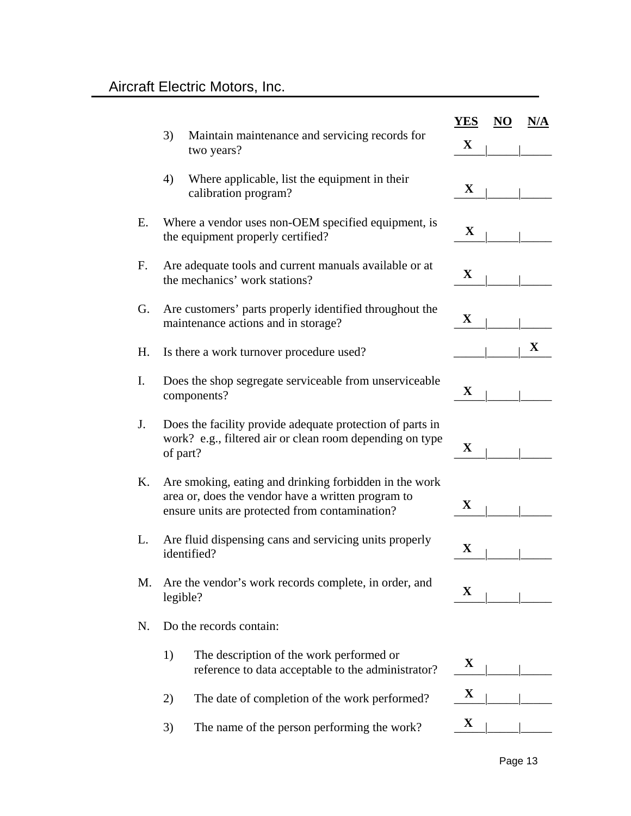|    | 3)<br>Maintain maintenance and servicing records for<br>two years?                                                                                             | YES<br>$\mathbf X$ | NO | N/A         |
|----|----------------------------------------------------------------------------------------------------------------------------------------------------------------|--------------------|----|-------------|
|    | 4)<br>Where applicable, list the equipment in their<br>calibration program?                                                                                    | $\mathbf X$        |    |             |
| Ε. | Where a vendor uses non-OEM specified equipment, is<br>the equipment properly certified?                                                                       | $\mathbf X$        |    |             |
| F. | Are adequate tools and current manuals available or at<br>the mechanics' work stations?                                                                        | $\mathbf X$        |    |             |
| G. | Are customers' parts properly identified throughout the<br>maintenance actions and in storage?                                                                 | X                  |    |             |
| Η. | Is there a work turnover procedure used?                                                                                                                       |                    |    | $\mathbf X$ |
| I. | Does the shop segregate serviceable from unserviceable<br>components?                                                                                          | $\mathbf X$        |    |             |
| J. | Does the facility provide adequate protection of parts in<br>work? e.g., filtered air or clean room depending on type<br>of part?                              | $\mathbf X$        |    |             |
| Κ. | Are smoking, eating and drinking forbidden in the work<br>area or, does the vendor have a written program to<br>ensure units are protected from contamination? | X                  |    |             |
| L. | Are fluid dispensing cans and servicing units properly<br>identified?                                                                                          | X                  |    |             |
| М. | Are the vendor's work records complete, in order, and<br>legible?                                                                                              | X                  |    |             |
| N. | Do the records contain:                                                                                                                                        |                    |    |             |
|    | The description of the work performed or<br>1)<br>reference to data acceptable to the administrator?                                                           | X                  |    |             |
|    | The date of completion of the work performed?<br>2)                                                                                                            | $\mathbf X$        |    |             |
|    | 3)<br>The name of the person performing the work?                                                                                                              | X                  |    |             |